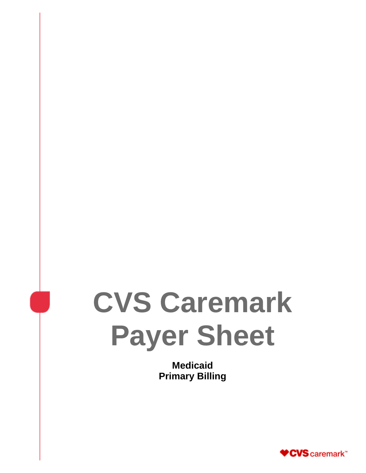# **CVS Caremark Payer Sheet**

**Medicaid Primary Billing** 

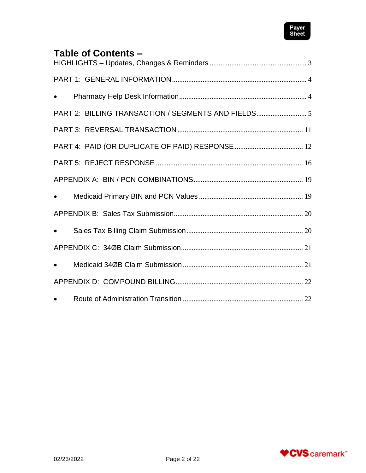

# **Table of Contents –**

| $\bullet$ |  |
|-----------|--|
|           |  |
|           |  |
|           |  |
|           |  |
|           |  |
| $\bullet$ |  |
|           |  |
| $\bullet$ |  |
|           |  |
| $\bullet$ |  |
|           |  |
|           |  |

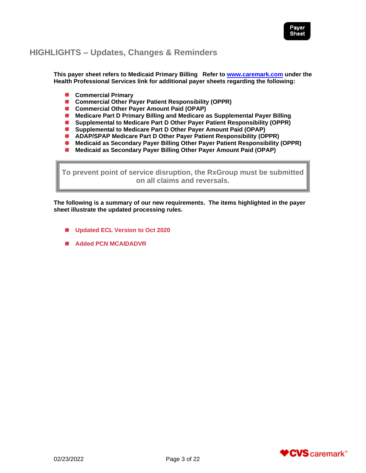

# <span id="page-2-0"></span>**HIGHLIGHTS – Updates, Changes & Reminders**

**This payer sheet refers to Medicaid Primary Billing Refer to [www.caremark.com](http://www.caremark.com/) under the Health Professional Services link for additional payer sheets regarding the following:**

- **Commercial Primary**
- **Commercial Other Payer Patient Responsibility (OPPR)**
- **Commercial Other Payer Amount Paid (OPAP)**
- **Medicare Part D Primary Billing and Medicare as Supplemental Payer Billing**
- **Supplemental to Medicare Part D Other Payer Patient Responsibility (OPPR)**
- $\bullet$ **Supplemental to Medicare Part D Other Payer Amount Paid (OPAP)**
- **ADAP/SPAP Medicare Part D Other Payer Patient Responsibility (OPPR)**
- **Medicaid as Secondary Payer Billing Other Payer Patient Responsibility (OPPR)**
- $\bullet$ **Medicaid as Secondary Payer Billing Other Payer Amount Paid (OPAP)**

**To prevent point of service disruption, the RxGroup must be submitted on all claims and reversals.**

**The following is a summary of our new requirements. The items highlighted in the payer sheet illustrate the updated processing rules.**

- **Updated ECL Version to Oct 2020**
- **Added PCN MCAIDADVR**

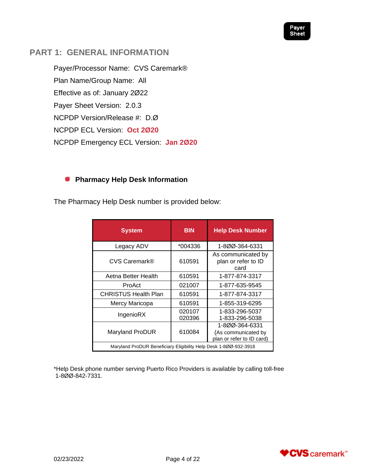

# <span id="page-3-0"></span>**PART 1: GENERAL INFORMATION**

Payer/Processor Name: CVS Caremark® Plan Name/Group Name: All Effective as of: January 2Ø22 Payer Sheet Version: 2.0.3 NCPDP Version/Release #: D.Ø NCPDP ECL Version: **Oct 2Ø20** NCPDP Emergency ECL Version: **Jan 2Ø20**

#### <span id="page-3-1"></span>**Pharmacy Help Desk Information SI**

The Pharmacy Help Desk number is provided below:

| <b>System</b>                                                    | <b>BIN</b>       | <b>Help Desk Number</b>                           |
|------------------------------------------------------------------|------------------|---------------------------------------------------|
| Legacy ADV                                                       | *004336          | 1-800-364-6331                                    |
| <b>CVS Caremark®</b>                                             | 610591           | As communicated by<br>plan or refer to ID<br>card |
| Aetna Better Health                                              | 610591           | 1-877-874-3317                                    |
| ProAct                                                           | 021007           | 1-877-635-9545                                    |
| <b>CHRISTUS Health Plan</b>                                      | 610591           | 1-877-874-3317                                    |
| Mercy Maricopa                                                   | 610591           | 1-855-319-6295                                    |
| IngenioRX                                                        | 020107<br>020396 | 1-833-296-5037<br>1-833-296-5038                  |
| <b>Maryland ProDUR</b>                                           | 610084           | 1-800-364-6331<br>(As communicated by             |
|                                                                  |                  | plan or refer to ID card)                         |
| Maryland ProDUR Beneficiary Eligibility Help Desk 1-800-932-3918 |                  |                                                   |

\*Help Desk phone number serving Puerto Rico Providers is available by calling toll-free 1-8ØØ-842-7331.

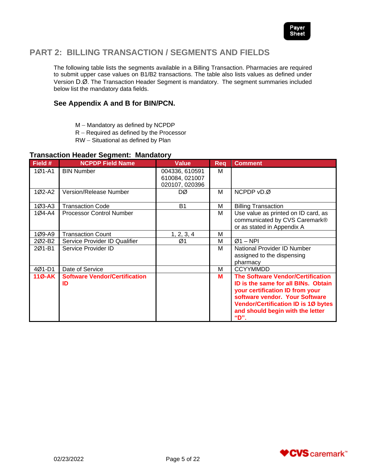

# <span id="page-4-0"></span>**PART 2: BILLING TRANSACTION / SEGMENTS AND FIELDS**

The following table lists the segments available in a Billing Transaction. Pharmacies are required to submit upper case values on B1/B2 transactions. The table also lists values as defined under Version D.Ø. The Transaction Header Segment is mandatory. The segment summaries included below list the mandatory data fields.

#### **See Appendix A and B for BIN/PCN.**

- M Mandatory as defined by NCPDP
- R Required as defined by the Processor
- RW Situational as defined by Plan

#### **Transaction Header Segment: Mandatory**

| Field #  | <b>NCPDP Field Name</b>                    | Value                                              | <b>Reg</b> | <b>Comment</b>                                                                                                                                                                                                                                 |
|----------|--------------------------------------------|----------------------------------------------------|------------|------------------------------------------------------------------------------------------------------------------------------------------------------------------------------------------------------------------------------------------------|
| $1Ø1-A1$ | <b>BIN Number</b>                          | 004336, 610591<br>610084, 021007<br>020107, 020396 | м          |                                                                                                                                                                                                                                                |
| $102-A2$ | Version/Release Number                     | DØ                                                 | м          | NCPDP vD.Ø                                                                                                                                                                                                                                     |
| 1Ø3-A3   | <b>Transaction Code</b>                    | <b>B1</b>                                          | М          | <b>Billing Transaction</b>                                                                                                                                                                                                                     |
| 1Ø4-A4   | <b>Processor Control Number</b>            |                                                    | M          | Use value as printed on ID card, as<br>communicated by CVS Caremark®<br>or as stated in Appendix A                                                                                                                                             |
| 1Ø9-A9   | <b>Transaction Count</b>                   | 1, 2, 3, 4                                         | M          |                                                                                                                                                                                                                                                |
| 2Ø2-B2   | Service Provider ID Qualifier              | Ø1                                                 | м          | $Ø1 - NPI$                                                                                                                                                                                                                                     |
| 201-B1   | Service Provider ID                        |                                                    | м          | National Provider ID Number<br>assigned to the dispensing                                                                                                                                                                                      |
|          |                                            |                                                    |            | pharmacy                                                                                                                                                                                                                                       |
| 4Ø1-D1   | Date of Service                            |                                                    | M          | <b>CCYYMMDD</b>                                                                                                                                                                                                                                |
| $11Ø-AK$ | <b>Software Vendor/Certification</b><br>ID |                                                    | M          | <b>The Software Vendor/Certification</b><br>ID is the same for all BINs. Obtain<br>your certification ID from your<br>software vendor. Your Software<br><b>Vendor/Certification ID is 10 bytes</b><br>and should begin with the letter<br>"D". |

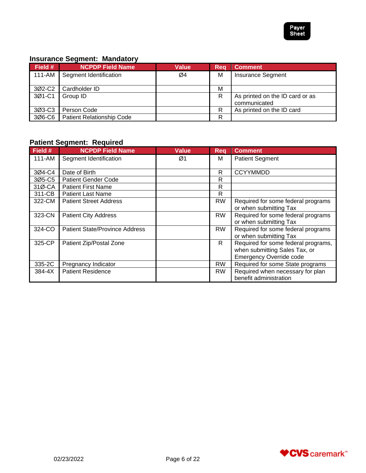

# **Insurance Segment: Mandatory**

| Field # | <b>NCPDP Field Name</b>   | <b>Value</b> | Reg | <b>Comment</b>                                  |
|---------|---------------------------|--------------|-----|-------------------------------------------------|
| 111-AM  | Segment Identification    | Ø4           | M   | <b>Insurance Segment</b>                        |
| 3Ø2-C2  | Cardholder ID             |              | M   |                                                 |
| 3Ø1-C1  | Group ID                  |              | R   | As printed on the ID card or as<br>communicated |
| 3Ø3-C3  | Person Code               |              | R   | As printed on the ID card                       |
| 306-C6  | Patient Relationship Code |              | R   |                                                 |

# **Patient Segment: Required**

| Field # | <b>NCPDP Field Name</b>               | <b>Value</b> | Reg       | <b>Comment</b>                                                                                         |
|---------|---------------------------------------|--------------|-----------|--------------------------------------------------------------------------------------------------------|
| 111-AM  | Segment Identification                | Ø1           | M         | <b>Patient Segment</b>                                                                                 |
| 3Ø4-C4  | Date of Birth                         |              | R         | <b>CCYYMMDD</b>                                                                                        |
| 3Ø5-C5  | <b>Patient Gender Code</b>            |              | R         |                                                                                                        |
| 31Ø-CA  | <b>Patient First Name</b>             |              | R         |                                                                                                        |
| 311-CB  | <b>Patient Last Name</b>              |              | R         |                                                                                                        |
| 322-CM  | <b>Patient Street Address</b>         |              | <b>RW</b> | Required for some federal programs<br>or when submitting Tax                                           |
| 323-CN  | <b>Patient City Address</b>           |              | <b>RW</b> | Required for some federal programs<br>or when submitting Tax                                           |
| 324-CO  | <b>Patient State/Province Address</b> |              | RW        | Required for some federal programs<br>or when submitting Tax                                           |
| 325-CP  | Patient Zip/Postal Zone               |              | R         | Required for some federal programs,<br>when submitting Sales Tax, or<br><b>Emergency Override code</b> |
| 335-2C  | Pregnancy Indicator                   |              | <b>RW</b> | Required for some State programs                                                                       |
| 384-4X  | <b>Patient Residence</b>              |              | <b>RW</b> | Required when necessary for plan<br>benefit administration                                             |

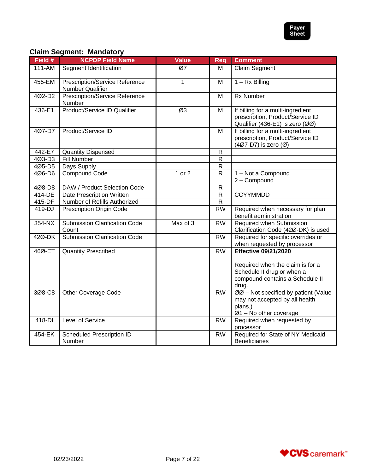

# **Claim Segment: Mandatory**

| Field # | <b>NCPDP Field Name</b>                            | <b>Value</b> | Req            | <b>Comment</b>                                                                                              |
|---------|----------------------------------------------------|--------------|----------------|-------------------------------------------------------------------------------------------------------------|
| 111-AM  | Segment Identification                             | Ø7           | м              | Claim Segment                                                                                               |
| 455-EM  | Prescription/Service Reference<br>Number Qualifier | $\mathbf{1}$ | M              | $1 - Rx$ Billing                                                                                            |
| 4Ø2-D2  | <b>Prescription/Service Reference</b><br>Number    |              | M              | <b>Rx Number</b>                                                                                            |
| 436-E1  | <b>Product/Service ID Qualifier</b>                | Ø3           | M              | If billing for a multi-ingredient<br>prescription, Product/Service ID<br>Qualifier (436-E1) is zero (ØØ)    |
| 4Ø7-D7  | Product/Service ID                                 |              | M              | If billing for a multi-ingredient<br>prescription, Product/Service ID<br>(407-D7) is zero (Ø)               |
| 442-E7  | <b>Quantity Dispensed</b>                          |              | ${\sf R}$      |                                                                                                             |
| 4Ø3-D3  | <b>Fill Number</b>                                 |              | ${\sf R}$      |                                                                                                             |
| 4Ø5-D5  | Days Supply                                        |              | ${\sf R}$      |                                                                                                             |
| 4Ø6-D6  | <b>Compound Code</b>                               | 1 or 2       | $\mathsf{R}$   | 1 - Not a Compound<br>2 - Compound                                                                          |
| 4Ø8-D8  | DAW / Product Selection Code                       |              | $\mathsf{R}$   |                                                                                                             |
| 414-DE  | Date Prescription Written                          |              | $\overline{R}$ | <b>CCYYMMDD</b>                                                                                             |
| 415-DF  | Number of Refills Authorized                       |              | $\mathsf{R}$   |                                                                                                             |
| 419-DJ  | <b>Prescription Origin Code</b>                    |              | <b>RW</b>      | Required when necessary for plan<br>benefit administration                                                  |
| 354-NX  | <b>Submission Clarification Code</b><br>Count      | Max of 3     | <b>RW</b>      | Required when Submission<br>Clarification Code (42Ø-DK) is used                                             |
| 42Ø-DK  | <b>Submission Clarification Code</b>               |              | <b>RW</b>      | Required for specific overrides or<br>when requested by processor                                           |
| 46Ø-ET  | <b>Quantity Prescribed</b>                         |              | <b>RW</b>      | <b>Effective 09/21/2020</b>                                                                                 |
|         |                                                    |              |                | Required when the claim is for a<br>Schedule II drug or when a<br>compound contains a Schedule II<br>drug.  |
| 3Ø8-C8  | <b>Other Coverage Code</b>                         |              | <b>RW</b>      | ØØ - Not specified by patient (Value<br>may not accepted by all health<br>plans.)<br>Ø1 - No other coverage |
| 418-DI  | Level of Service                                   |              | <b>RW</b>      | Required when requested by<br>processor                                                                     |
| 454-EK  | Scheduled Prescription ID<br>Number                |              | <b>RW</b>      | Required for State of NY Medicaid<br><b>Beneficiaries</b>                                                   |

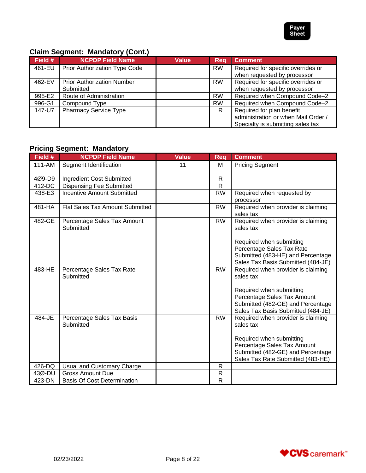

# **Claim Segment: Mandatory (Cont.)**

| Field # | <b>NCPDP Field Name</b>           | Value | <b>Req</b> | <b>Comment</b>                      |
|---------|-----------------------------------|-------|------------|-------------------------------------|
| 461-EU  | Prior Authorization Type Code     |       | <b>RW</b>  | Required for specific overrides or  |
|         |                                   |       |            | when requested by processor         |
| 462-EV  | <b>Prior Authorization Number</b> |       | <b>RW</b>  | Required for specific overrides or  |
|         | Submitted                         |       |            | when requested by processor         |
| 995-E2  | Route of Administration           |       | <b>RW</b>  | Required when Compound Code-2       |
| 996-G1  | Compound Type                     |       | <b>RW</b>  | Required when Compound Code-2       |
| 147-U7  | <b>Pharmacy Service Type</b>      |       | R          | Required for plan benefit           |
|         |                                   |       |            | administration or when Mail Order / |
|         |                                   |       |            | Specialty is submitting sales tax   |

# **Pricing Segment: Mandatory**

| Field #    | <b>NCPDP Field Name</b>                  | <b>Value</b> | <b>Req</b>   | <b>Comment</b>                                                                               |
|------------|------------------------------------------|--------------|--------------|----------------------------------------------------------------------------------------------|
| $111 - AM$ | Segment Identification                   | 11           | М            | <b>Pricing Segment</b>                                                                       |
| 4Ø9-D9     | Ingredient Cost Submitted                |              | R            |                                                                                              |
| 412-DC     | <b>Dispensing Fee Submitted</b>          |              | $\mathsf{R}$ |                                                                                              |
| 438-E3     | <b>Incentive Amount Submitted</b>        |              | <b>RW</b>    | Required when requested by<br>processor                                                      |
| 481-HA     | Flat Sales Tax Amount Submitted          |              | <b>RW</b>    | Required when provider is claiming<br>sales tax                                              |
| 482-GE     | Percentage Sales Tax Amount<br>Submitted |              | <b>RW</b>    | Required when provider is claiming<br>sales tax                                              |
|            |                                          |              |              | Required when submitting<br>Percentage Sales Tax Rate                                        |
|            |                                          |              |              | Submitted (483-HE) and Percentage<br>Sales Tax Basis Submitted (484-JE)                      |
| 483-HE     | Percentage Sales Tax Rate<br>Submitted   |              | <b>RW</b>    | Required when provider is claiming<br>sales tax                                              |
|            |                                          |              |              | Required when submitting<br>Percentage Sales Tax Amount<br>Submitted (482-GE) and Percentage |
|            |                                          |              |              | Sales Tax Basis Submitted (484-JE)                                                           |
| 484-JE     | Percentage Sales Tax Basis<br>Submitted  |              | <b>RW</b>    | Required when provider is claiming<br>sales tax                                              |
|            |                                          |              |              | Required when submitting                                                                     |
|            |                                          |              |              | Percentage Sales Tax Amount                                                                  |
|            |                                          |              |              | Submitted (482-GE) and Percentage                                                            |
|            |                                          |              |              | Sales Tax Rate Submitted (483-HE)                                                            |
| 426-DQ     | Usual and Customary Charge               |              | $\mathsf{R}$ |                                                                                              |
| 43Ø-DU     | <b>Gross Amount Due</b>                  |              | $\mathsf R$  |                                                                                              |
| 423-DN     | <b>Basis Of Cost Determination</b>       |              | $\mathsf{R}$ |                                                                                              |

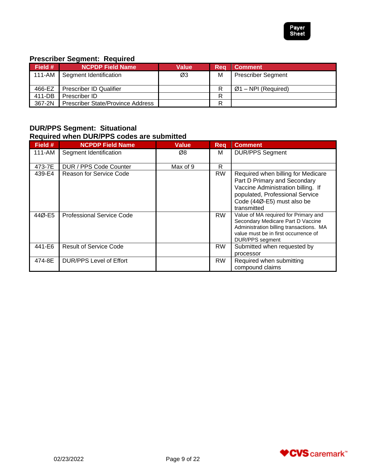

# **Prescriber Segment: Required**

| Field # | <b>NCPDP Field Name</b>                  | Value | Rea | <b>Comment</b>            |
|---------|------------------------------------------|-------|-----|---------------------------|
| 111-AM  | Segment Identification                   | Ø3    | M   | <b>Prescriber Segment</b> |
|         |                                          |       |     |                           |
| 466-EZ  | <b>Prescriber ID Qualifier</b>           |       |     | $Ø1 - NPI$ (Required)     |
| 411-DB  | Prescriber ID                            |       | R   |                           |
| 367-2N  | <b>Prescriber State/Province Address</b> |       | R   |                           |

## **DUR/PPS Segment: Situational Required when DUR/PPS codes are submitted**

| Field # | <b>NCPDP Field Name</b>        | <b>Value</b> | Reg       | <b>Comment</b>                                                                                                                                                                           |
|---------|--------------------------------|--------------|-----------|------------------------------------------------------------------------------------------------------------------------------------------------------------------------------------------|
| 111-AM  | Segment Identification         | Ø8           | м         | <b>DUR/PPS Segment</b>                                                                                                                                                                   |
| 473-7E  | DUR / PPS Code Counter         | Max of 9     | R         |                                                                                                                                                                                          |
| 439-E4  | Reason for Service Code        |              | <b>RW</b> | Required when billing for Medicare<br>Part D Primary and Secondary<br>Vaccine Administration billing. If<br>populated, Professional Service<br>Code (44Ø-E5) must also be<br>transmitted |
| 44Ø-E5  | Professional Service Code      |              | <b>RW</b> | Value of MA required for Primary and<br>Secondary Medicare Part D Vaccine<br>Administration billing transactions. MA<br>value must be in first occurrence of<br><b>DUR/PPS</b> segment   |
| 441-E6  | <b>Result of Service Code</b>  |              | <b>RW</b> | Submitted when requested by<br>processor                                                                                                                                                 |
| 474-8E  | <b>DUR/PPS Level of Effort</b> |              | <b>RW</b> | Required when submitting<br>compound claims                                                                                                                                              |

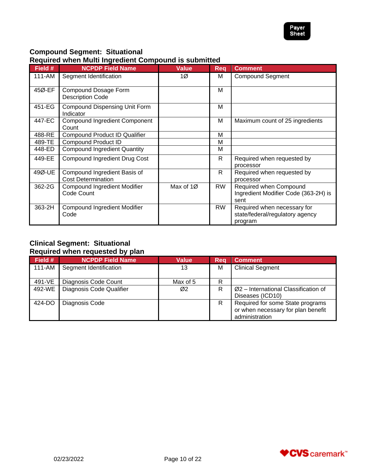

# **Compound Segment: Situational**

#### **Required when Multi Ingredient Compound is submitted**

| Field # | <b>NCPDP Field Name</b>                                   | <b>Value</b> | Rea       | <b>Comment</b>                                                            |
|---------|-----------------------------------------------------------|--------------|-----------|---------------------------------------------------------------------------|
| 111-AM  | Segment Identification                                    | 1Ø           | м         | <b>Compound Segment</b>                                                   |
| 45Ø-EF  | Compound Dosage Form<br><b>Description Code</b>           |              | M         |                                                                           |
| 451-EG  | <b>Compound Dispensing Unit Form</b><br>Indicator         |              | M         |                                                                           |
| 447-EC  | <b>Compound Ingredient Component</b><br>Count             |              | M         | Maximum count of 25 ingredients                                           |
| 488-RE  | <b>Compound Product ID Qualifier</b>                      |              | M         |                                                                           |
| 489-TE  | <b>Compound Product ID</b>                                |              | M         |                                                                           |
| 448-ED  | <b>Compound Ingredient Quantity</b>                       |              | м         |                                                                           |
| 449-EE  | <b>Compound Ingredient Drug Cost</b>                      |              | R.        | Required when requested by<br>processor                                   |
| 49Ø-UE  | Compound Ingredient Basis of<br><b>Cost Determination</b> |              | R         | Required when requested by<br>processor                                   |
| 362-2G  | <b>Compound Ingredient Modifier</b><br>Code Count         | Max of 1Ø    | <b>RW</b> | Required when Compound<br>Ingredient Modifier Code (363-2H) is<br>sent    |
| 363-2H  | <b>Compound Ingredient Modifier</b><br>Code               |              | <b>RW</b> | Required when necessary for<br>state/federal/regulatory agency<br>program |

#### **Clinical Segment: Situational Required when requested by plan**

| Field # | <b>NCPDP Field Name</b>  | <b>Value</b> | Reg | <b>Comment</b>                                                                           |
|---------|--------------------------|--------------|-----|------------------------------------------------------------------------------------------|
| 111-AM  | Segment Identification   | 13           | M   | <b>Clinical Segment</b>                                                                  |
| 491-VE  | Diagnosis Code Count     | Max of 5     | R   |                                                                                          |
| 492-WE  | Diagnosis Code Qualifier | Ø2           | R   | $Ø2$ – International Classification of<br>Diseases (ICD10)                               |
| 424-DO  | Diagnosis Code           |              | R   | Required for some State programs<br>or when necessary for plan benefit<br>administration |

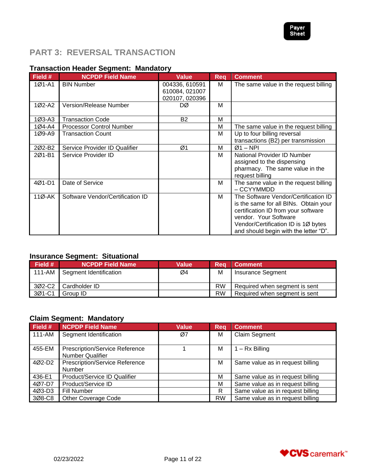

# <span id="page-10-0"></span>**PART 3: REVERSAL TRANSACTION**

## **Transaction Header Segment: Mandatory**

| Field #    | <b>NCPDP Field Name</b>          | Value                                              | <b>Reg</b> | <b>Comment</b>                                                                                                                                                                                                                |
|------------|----------------------------------|----------------------------------------------------|------------|-------------------------------------------------------------------------------------------------------------------------------------------------------------------------------------------------------------------------------|
| $1Ø1 - A1$ | <b>BIN Number</b>                | 004336, 610591<br>610084, 021007<br>020107, 020396 | М          | The same value in the request billing                                                                                                                                                                                         |
| 1Ø2-A2     | Version/Release Number           | DØ                                                 | м          |                                                                                                                                                                                                                               |
| $103 - A3$ | <b>Transaction Code</b>          | <b>B2</b>                                          | M          |                                                                                                                                                                                                                               |
| 1Ø4-A4     | <b>Processor Control Number</b>  |                                                    | M          | The same value in the request billing                                                                                                                                                                                         |
| 1Ø9-A9     | <b>Transaction Count</b>         |                                                    | M          | Up to four billing reversal                                                                                                                                                                                                   |
|            |                                  |                                                    |            | transactions (B2) per transmission                                                                                                                                                                                            |
| 202-B2     | Service Provider ID Qualifier    | Ø1                                                 | м          | $Ø1 - NPI$                                                                                                                                                                                                                    |
| 2Ø1-B1     | Service Provider ID              |                                                    | м          | National Provider ID Number<br>assigned to the dispensing<br>pharmacy. The same value in the<br>request billing                                                                                                               |
| 4Ø1-D1     | Date of Service                  |                                                    | M          | The same value in the request billing<br>– CCYYMMDD                                                                                                                                                                           |
| 11Ø-AK     | Software Vendor/Certification ID |                                                    | м          | The Software Vendor/Certification ID<br>is the same for all BINs. Obtain your<br>certification ID from your software<br>vendor. Your Software<br>Vendor/Certification ID is 1Ø bytes<br>and should begin with the letter "D". |

# **Insurance Segment: Situational**

| Field # | <b>NCPDP Field Name</b> | Value | Rea       | <b>Comment</b>                |
|---------|-------------------------|-------|-----------|-------------------------------|
| 111-AM  | Segment Identification  | Ø4    | M         | Insurance Segment             |
| 3Ø2-C2  | Cardholder ID           |       | <b>RW</b> | Required when segment is sent |
| 3Ø1-C1  | Group ID                |       | <b>RW</b> | Required when segment is sent |

#### **Claim Segment: Mandatory**

| Field # | <b>NCPDP Field Name</b>               | <b>Value</b> | Req       | <b>Comment</b>                   |
|---------|---------------------------------------|--------------|-----------|----------------------------------|
| 111-AM  | Segment Identification                | Ø7           | M         | <b>Claim Segment</b>             |
|         |                                       |              |           |                                  |
| 455-EM  | Prescription/Service Reference        |              | M         | $1 - Rx$ Billing                 |
|         | <b>Number Qualifier</b>               |              |           |                                  |
| 4Ø2-D2  | <b>Prescription/Service Reference</b> |              | M         | Same value as in request billing |
|         | <b>Number</b>                         |              |           |                                  |
| 436-E1  | Product/Service ID Qualifier          |              | м         | Same value as in request billing |
| 4Ø7-D7  | Product/Service ID                    |              | М         | Same value as in request billing |
| 4Ø3-D3  | Fill Number                           |              | R         | Same value as in request billing |
| 3Ø8-C8  | <b>Other Coverage Code</b>            |              | <b>RW</b> | Same value as in request billing |

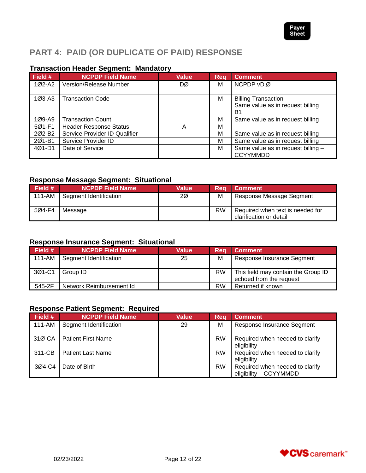

# <span id="page-11-0"></span>**PART 4: PAID (OR DUPLICATE OF PAID) RESPONSE**

# **Transaction Header Segment: Mandatory**

| Field #  | <b>NCPDP Field Name</b>       | <b>Value</b> | Reg | <b>Comment</b>                                                                   |
|----------|-------------------------------|--------------|-----|----------------------------------------------------------------------------------|
| 1Ø2-A2   | Version/Release Number        | DØ           | М   | NCPDP vD.Ø                                                                       |
| $1Ø3-A3$ | <b>Transaction Code</b>       |              | м   | <b>Billing Transaction</b><br>Same value as in request billing<br>B <sub>1</sub> |
| 1Ø9-A9   | <b>Transaction Count</b>      |              | M   | Same value as in request billing                                                 |
| 5Ø1-F1   | <b>Header Response Status</b> | А            | М   |                                                                                  |
| 202-B2   | Service Provider ID Qualifier |              | M   | Same value as in request billing                                                 |
| 201-B1   | Service Provider ID           |              | M   | Same value as in request billing                                                 |
| 4Ø1-D1   | Date of Service               |              | M   | Same value as in request billing -<br><b>CCYYMMDD</b>                            |

# **Response Message Segment: Situational**

| Field # | <b>NCPDP Field Name</b>         | <b>Value</b> | Rea | <b>Comment</b>                                              |
|---------|---------------------------------|--------------|-----|-------------------------------------------------------------|
|         | 111-AM   Segment Identification | 2Ø           | M   | Response Message Segment                                    |
| 5Ø4-F4  | Message                         |              | RW  | Required when text is needed for<br>clarification or detail |

# **Response Insurance Segment: Situational**

| Field # | <b>NCPDP Field Name</b>  | Value | Rea       | <b>Comment</b>                                                 |
|---------|--------------------------|-------|-----------|----------------------------------------------------------------|
| 111-AM  | Segment Identification   | 25    | M         | Response Insurance Segment                                     |
| 3Ø1-C1  | Group ID                 |       | <b>RW</b> | This field may contain the Group ID<br>echoed from the request |
| 545-2F  | Network Reimbursement Id |       | <b>RW</b> | Returned if known                                              |

# **Response Patient Segment: Required**

| Field # | <b>NCPDP Field Name</b>   | Value | Reg       | <b>Comment</b>                                            |
|---------|---------------------------|-------|-----------|-----------------------------------------------------------|
| 111-AM  | Segment Identification    | 29    | M         | Response Insurance Segment                                |
|         | 31Ø-CA Patient First Name |       | <b>RW</b> | Required when needed to clarify<br>eligibility            |
| 311-CB  | <b>Patient Last Name</b>  |       | <b>RW</b> | Required when needed to clarify<br>eligibility            |
| 3Ø4-C4  | Date of Birth             |       | <b>RW</b> | Required when needed to clarify<br>eligibility - CCYYMMDD |

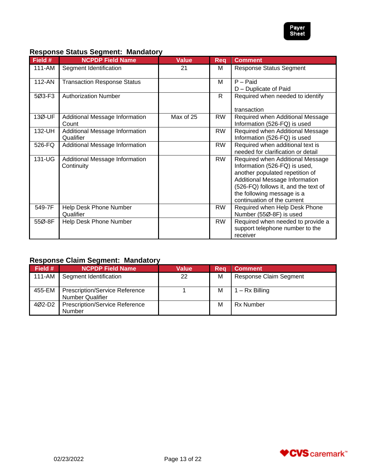

#### **Response Status Segment: Mandatory**

| Field # | <b>NCPDP Field Name</b>                      | <b>Value</b> | Rea       | <b>Comment</b>                                                                                                                                                                                                                              |
|---------|----------------------------------------------|--------------|-----------|---------------------------------------------------------------------------------------------------------------------------------------------------------------------------------------------------------------------------------------------|
| 111-AM  | Segment Identification                       | 21           | М         | <b>Response Status Segment</b>                                                                                                                                                                                                              |
| 112-AN  | <b>Transaction Response Status</b>           |              | M         | $P -$ Paid<br>D - Duplicate of Paid                                                                                                                                                                                                         |
| 5Ø3-F3  | <b>Authorization Number</b>                  |              | R         | Required when needed to identify<br>transaction                                                                                                                                                                                             |
| 13Ø-UF  | Additional Message Information<br>Count      | Max of 25    | <b>RW</b> | Required when Additional Message<br>Information (526-FQ) is used                                                                                                                                                                            |
| 132-UH  | Additional Message Information<br>Qualifier  |              | <b>RW</b> | Required when Additional Message<br>Information (526-FQ) is used                                                                                                                                                                            |
| 526-FQ  | Additional Message Information               |              | <b>RW</b> | Required when additional text is<br>needed for clarification or detail                                                                                                                                                                      |
| 131-UG  | Additional Message Information<br>Continuity |              | <b>RW</b> | Required when Additional Message<br>Information (526-FQ) is used,<br>another populated repetition of<br>Additional Message Information<br>(526-FQ) follows it, and the text of<br>the following message is a<br>continuation of the current |
| 549-7F  | Help Desk Phone Number<br>Qualifier          |              | <b>RW</b> | Required when Help Desk Phone<br>Number (55Ø-8F) is used                                                                                                                                                                                    |
| 55Ø-8F  | Help Desk Phone Number                       |              | <b>RW</b> | Required when needed to provide a<br>support telephone number to the<br>receiver                                                                                                                                                            |

# **Response Claim Segment: Mandatory**

| Field $#$ | <b>NCPDP Field Name</b>                                          | Value | Reg | <b>Comment</b>                |
|-----------|------------------------------------------------------------------|-------|-----|-------------------------------|
| 111-AM    | Segment Identification                                           | 22    | M   | <b>Response Claim Segment</b> |
| 455-EM    | <b>Prescription/Service Reference</b><br><b>Number Qualifier</b> |       | м   | $-$ Rx Billing                |
| 4Ø2-D2    | <b>Prescription/Service Reference</b><br>Number                  |       | M   | <b>Rx Number</b>              |

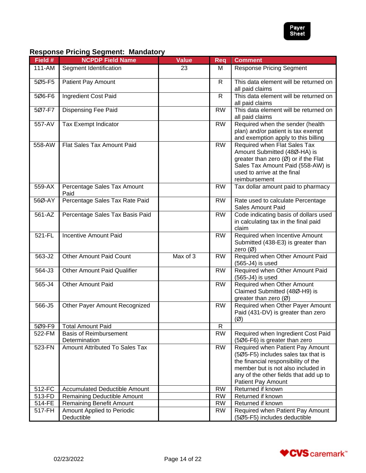

# **Response Pricing Segment: Mandatory**

| Field # | <b>NCPDP Field Name</b>                        | <b>Value</b> | <b>Req</b>   | <b>Comment</b>                                                                                                                                                                                                              |
|---------|------------------------------------------------|--------------|--------------|-----------------------------------------------------------------------------------------------------------------------------------------------------------------------------------------------------------------------------|
| 111-AM  | Segment Identification                         | 23           | М            | <b>Response Pricing Segment</b>                                                                                                                                                                                             |
| 5Ø5-F5  | Patient Pay Amount                             |              | $\mathsf{R}$ | This data element will be returned on<br>all paid claims                                                                                                                                                                    |
| 5Ø6-F6  | Ingredient Cost Paid                           |              | $\mathsf{R}$ | This data element will be returned on<br>all paid claims                                                                                                                                                                    |
| 5Ø7-F7  | Dispensing Fee Paid                            |              | <b>RW</b>    | This data element will be returned on<br>all paid claims                                                                                                                                                                    |
| 557-AV  | Tax Exempt Indicator                           |              | <b>RW</b>    | Required when the sender (health<br>plan) and/or patient is tax exempt<br>and exemption apply to this billing                                                                                                               |
| 558-AW  | Flat Sales Tax Amount Paid                     |              | <b>RW</b>    | Required when Flat Sales Tax<br>Amount Submitted (48Ø-HA) is<br>greater than zero $(\emptyset)$ or if the Flat<br>Sales Tax Amount Paid (558-AW) is<br>used to arrive at the final<br>reimbursement                         |
| 559-AX  | Percentage Sales Tax Amount<br>Paid            |              | <b>RW</b>    | Tax dollar amount paid to pharmacy                                                                                                                                                                                          |
| 56Ø-AY  | Percentage Sales Tax Rate Paid                 |              | <b>RW</b>    | Rate used to calculate Percentage<br><b>Sales Amount Paid</b>                                                                                                                                                               |
| 561-AZ  | Percentage Sales Tax Basis Paid                |              | <b>RW</b>    | Code indicating basis of dollars used<br>in calculating tax in the final paid<br>claim                                                                                                                                      |
| 521-FL  | <b>Incentive Amount Paid</b>                   |              | <b>RW</b>    | Required when Incentive Amount<br>Submitted (438-E3) is greater than<br>zero $(\emptyset)$                                                                                                                                  |
| 563-J2  | <b>Other Amount Paid Count</b>                 | Max of 3     | <b>RW</b>    | Required when Other Amount Paid<br>(565-J4) is used                                                                                                                                                                         |
| 564-J3  | <b>Other Amount Paid Qualifier</b>             |              | <b>RW</b>    | Required when Other Amount Paid<br>(565-J4) is used                                                                                                                                                                         |
| 565-J4  | Other Amount Paid                              |              | <b>RW</b>    | Required when Other Amount<br>Claimed Submitted (48Ø-H9) is<br>greater than zero $(\emptyset)$                                                                                                                              |
| 566-J5  | Other Payer Amount Recognized                  |              | <b>RW</b>    | Required when Other Payer Amount<br>Paid (431-DV) is greater than zero<br>$(\emptyset)$                                                                                                                                     |
| 5Ø9-F9  | <b>Total Amount Paid</b>                       |              | R            |                                                                                                                                                                                                                             |
| 522-FM  | <b>Basis of Reimbursement</b><br>Determination |              | <b>RW</b>    | Required when Ingredient Cost Paid<br>(506-F6) is greater than zero                                                                                                                                                         |
| 523-FN  | <b>Amount Attributed To Sales Tax</b>          |              | <b>RW</b>    | Required when Patient Pay Amount<br>(5Ø5-F5) includes sales tax that is<br>the financial responsibility of the<br>member but is not also included in<br>any of the other fields that add up to<br><b>Patient Pay Amount</b> |
| 512-FC  | <b>Accumulated Deductible Amount</b>           |              | <b>RW</b>    | Returned if known                                                                                                                                                                                                           |
| 513-FD  | Remaining Deductible Amount                    |              | <b>RW</b>    | Returned if known                                                                                                                                                                                                           |
| 514-FE  | <b>Remaining Benefit Amount</b>                |              | <b>RW</b>    | Returned if known                                                                                                                                                                                                           |
| 517-FH  | Amount Applied to Periodic<br>Deductible       |              | <b>RW</b>    | Required when Patient Pay Amount<br>(5Ø5-F5) includes deductible                                                                                                                                                            |

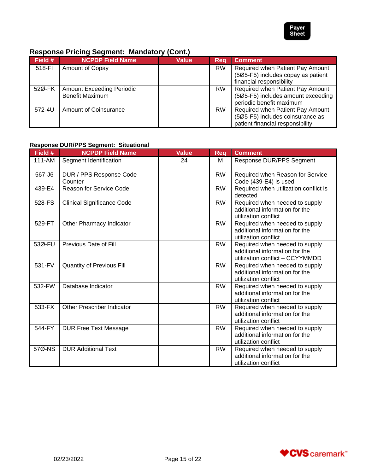

# **Response Pricing Segment: Mandatory (Cont.)**

| Field # | <b>NCPDP Field Name</b>          | <b>Value</b> | Reg       | <b>Comment</b>                                                         |
|---------|----------------------------------|--------------|-----------|------------------------------------------------------------------------|
| 518-FI  | Amount of Copay                  |              | <b>RW</b> | Required when Patient Pay Amount<br>(5Ø5-F5) includes copay as patient |
|         |                                  |              |           | financial responsibility                                               |
| 52Ø-FK  | <b>Amount Exceeding Periodic</b> |              | <b>RW</b> | Required when Patient Pay Amount                                       |
|         | <b>Benefit Maximum</b>           |              |           | (5Ø5-F5) includes amount exceeding                                     |
|         |                                  |              |           | periodic benefit maximum                                               |
| 572-4U  | <b>Amount of Coinsurance</b>     |              | <b>RW</b> | Required when Patient Pay Amount                                       |
|         |                                  |              |           | (5Ø5-F5) includes coinsurance as                                       |
|         |                                  |              |           | patient financial responsibility                                       |

## **Response DUR/PPS Segment: Situational**

| Field # | <b>NCPDP Field Name</b>            | <b>Value</b> | <b>Req</b> | <b>Comment</b>                                                                                      |
|---------|------------------------------------|--------------|------------|-----------------------------------------------------------------------------------------------------|
| 111-AM  | Segment Identification             | 24           | М          | Response DUR/PPS Segment                                                                            |
| 567-J6  | DUR / PPS Response Code<br>Counter |              | <b>RW</b>  | Required when Reason for Service<br>Code (439-E4) is used                                           |
| 439-E4  | <b>Reason for Service Code</b>     |              | <b>RW</b>  | Required when utilization conflict is<br>detected                                                   |
| 528-FS  | <b>Clinical Significance Code</b>  |              | <b>RW</b>  | Required when needed to supply<br>additional information for the<br>utilization conflict            |
| 529-FT  | Other Pharmacy Indicator           |              | <b>RW</b>  | Required when needed to supply<br>additional information for the<br>utilization conflict            |
| 53Ø-FU  | Previous Date of Fill              |              | <b>RW</b>  | Required when needed to supply<br>additional information for the<br>utilization conflict - CCYYMMDD |
| 531-FV  | Quantity of Previous Fill          |              | <b>RW</b>  | Required when needed to supply<br>additional information for the<br>utilization conflict            |
| 532-FW  | Database Indicator                 |              | <b>RW</b>  | Required when needed to supply<br>additional information for the<br>utilization conflict            |
| 533-FX  | <b>Other Prescriber Indicator</b>  |              | <b>RW</b>  | Required when needed to supply<br>additional information for the<br>utilization conflict            |
| 544-FY  | <b>DUR Free Text Message</b>       |              | <b>RW</b>  | Required when needed to supply<br>additional information for the<br>utilization conflict            |
| 57Ø-NS  | <b>DUR Additional Text</b>         |              | <b>RW</b>  | Required when needed to supply<br>additional information for the<br>utilization conflict            |

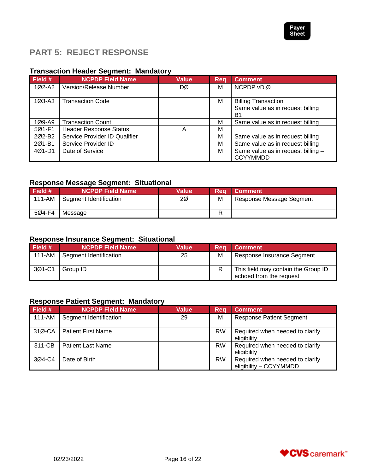

# <span id="page-15-0"></span>**PART 5: REJECT RESPONSE**

# **Transaction Header Segment: Mandatory**

| Field #            | <b>NCPDP Field Name</b>       | <b>Value</b> | Rea | <b>Comment</b>                                                                   |
|--------------------|-------------------------------|--------------|-----|----------------------------------------------------------------------------------|
| 1Ø2-A2             | <b>Version/Release Number</b> | DØ           | м   | NCPDP vD.Ø                                                                       |
| $1Ø3-A3$           | <b>Transaction Code</b>       |              | м   | <b>Billing Transaction</b><br>Same value as in request billing<br>B <sub>1</sub> |
| 1Ø9-A9             | <b>Transaction Count</b>      |              | м   | Same value as in request billing                                                 |
| 5Ø1-F1             | <b>Header Response Status</b> |              | M   |                                                                                  |
| 202-B <sub>2</sub> | Service Provider ID Qualifier |              | M   | Same value as in request billing                                                 |
| 2Ø1-B1             | Service Provider ID           |              | м   | Same value as in request billing                                                 |
| 4Ø1-D1             | Date of Service               |              | M   | Same value as in request billing -<br><b>CCYYMMDD</b>                            |

# **Response Message Segment: Situational**

| Field # | <b>NCPDP Field Name</b> | <b>Value</b> | <b>Rea</b> | <b>Comment</b>           |
|---------|-------------------------|--------------|------------|--------------------------|
| 111-AM  | Segment Identification  | 2Ø           | M          | Response Message Segment |
| 5Ø4-F4  | Message                 |              | D          |                          |

## **Response Insurance Segment: Situational**

| Field $#$ | <b>NCPDP Field Name</b> | <b>Value</b> | Rea | <b>Comment</b>                                                 |
|-----------|-------------------------|--------------|-----|----------------------------------------------------------------|
| 111-AM    | Segment Identification  | 25           | M   | Response Insurance Segment                                     |
| 3Ø1-C1    | Group ID                |              |     | This field may contain the Group ID<br>echoed from the request |

# **Response Patient Segment: Mandatory**

| Field # | <b>NCPDP Field Name</b>   | <b>Value</b> | Reg       | <b>Comment</b>                                            |
|---------|---------------------------|--------------|-----------|-----------------------------------------------------------|
| 111-AM  | Segment Identification    | 29           | M         | <b>Response Patient Segment</b>                           |
| 31Ø-CA  | <b>Patient First Name</b> |              | <b>RW</b> | Required when needed to clarify<br>eligibility            |
| 311-CB  | <b>Patient Last Name</b>  |              | <b>RW</b> | Required when needed to clarify<br>eligibility            |
| 3Ø4-C4  | Date of Birth             |              | <b>RW</b> | Required when needed to clarify<br>eligibility - CCYYMMDD |

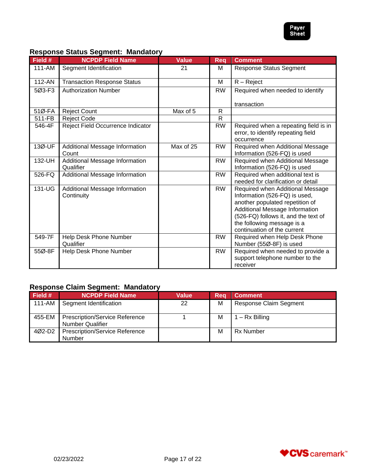

#### **Response Status Segment: Mandatory**

| Field # | <b>NCPDP Field Name</b>                      | <b>Value</b> | Req       | <b>Comment</b>                                                                                                                                                                                                                              |
|---------|----------------------------------------------|--------------|-----------|---------------------------------------------------------------------------------------------------------------------------------------------------------------------------------------------------------------------------------------------|
| 111-AM  | Segment Identification                       | 21           | М         | <b>Response Status Segment</b>                                                                                                                                                                                                              |
| 112-AN  | <b>Transaction Response Status</b>           |              | М         | $R - Reject$                                                                                                                                                                                                                                |
| 5Ø3-F3  | <b>Authorization Number</b>                  |              | <b>RW</b> | Required when needed to identify                                                                                                                                                                                                            |
| 51Ø-FA  | <b>Reject Count</b>                          | Max of 5     | R         | transaction                                                                                                                                                                                                                                 |
| 511-FB  | <b>Reject Code</b>                           |              | R         |                                                                                                                                                                                                                                             |
| 546-4F  | Reject Field Occurrence Indicator            |              | <b>RW</b> | Required when a repeating field is in<br>error, to identify repeating field<br>occurrence                                                                                                                                                   |
| 13Ø-UF  | Additional Message Information<br>Count      | Max of 25    | <b>RW</b> | Required when Additional Message<br>Information (526-FQ) is used                                                                                                                                                                            |
| 132-UH  | Additional Message Information<br>Qualifier  |              | <b>RW</b> | Required when Additional Message<br>Information (526-FQ) is used                                                                                                                                                                            |
| 526-FQ  | Additional Message Information               |              | <b>RW</b> | Required when additional text is<br>needed for clarification or detail                                                                                                                                                                      |
| 131-UG  | Additional Message Information<br>Continuity |              | <b>RW</b> | Required when Additional Message<br>Information (526-FQ) is used,<br>another populated repetition of<br>Additional Message Information<br>(526-FQ) follows it, and the text of<br>the following message is a<br>continuation of the current |
| 549-7F  | Help Desk Phone Number<br>Qualifier          |              | <b>RW</b> | Required when Help Desk Phone<br>Number (55Ø-8F) is used                                                                                                                                                                                    |
| 55Ø-8F  | Help Desk Phone Number                       |              | <b>RW</b> | Required when needed to provide a<br>support telephone number to the<br>receiver                                                                                                                                                            |

# **Response Claim Segment: Mandatory**

| Field # | <b>NCPDP Field Name</b>                                          | Value | Rea | <b>Comment</b>                |
|---------|------------------------------------------------------------------|-------|-----|-------------------------------|
| 111-AM  | Segment Identification                                           | 22    | M   | <b>Response Claim Segment</b> |
| 455-EM  | <b>Prescription/Service Reference</b><br><b>Number Qualifier</b> |       | м   | – Rx Billing                  |
| 4Ø2-D2  | <b>Prescription/Service Reference</b><br>Number                  |       | M   | <b>Rx Number</b>              |

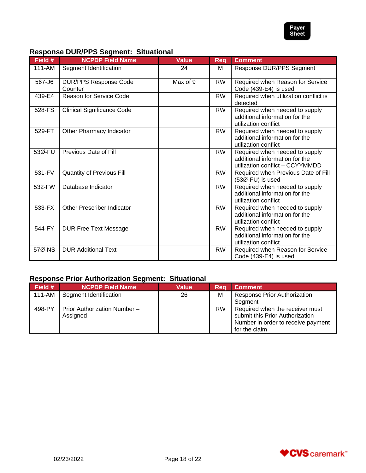

# **Response DUR/PPS Segment: Situational**

| Field # | <b>NCPDP Field Name</b>                 | <b>Value</b> | <b>Req</b> | <b>Comment</b>                                                                                      |
|---------|-----------------------------------------|--------------|------------|-----------------------------------------------------------------------------------------------------|
| 111-AM  | Segment Identification                  | 24           | M          | Response DUR/PPS Segment                                                                            |
| 567-J6  | <b>DUR/PPS Response Code</b><br>Counter | Max of 9     | <b>RW</b>  | Required when Reason for Service<br>Code (439-E4) is used                                           |
| 439-E4  | <b>Reason for Service Code</b>          |              | <b>RW</b>  | Required when utilization conflict is<br>detected                                                   |
| 528-FS  | <b>Clinical Significance Code</b>       |              | <b>RW</b>  | Required when needed to supply<br>additional information for the<br>utilization conflict            |
| 529-FT  | Other Pharmacy Indicator                |              | <b>RW</b>  | Required when needed to supply<br>additional information for the<br>utilization conflict            |
| 53Ø-FU  | Previous Date of Fill                   |              | <b>RW</b>  | Required when needed to supply<br>additional information for the<br>utilization conflict - CCYYMMDD |
| 531-FV  | <b>Quantity of Previous Fill</b>        |              | <b>RW</b>  | Required when Previous Date of Fill<br>$(53\emptyset$ -FU) is used                                  |
| 532-FW  | Database Indicator                      |              | <b>RW</b>  | Required when needed to supply<br>additional information for the<br>utilization conflict            |
| 533-FX  | <b>Other Prescriber Indicator</b>       |              | <b>RW</b>  | Required when needed to supply<br>additional information for the<br>utilization conflict            |
| 544-FY  | <b>DUR Free Text Message</b>            |              | <b>RW</b>  | Required when needed to supply<br>additional information for the<br>utilization conflict            |
| 57Ø-NS  | <b>DUR Additional Text</b>              |              | <b>RW</b>  | Required when Reason for Service<br>Code (439-E4) is used                                           |

# **Response Prior Authorization Segment: Situational**

| Field # | <b>NCPDP Field Name</b>                  | <b>Value</b> | Req       | <b>Comment</b>                                                                                                            |
|---------|------------------------------------------|--------------|-----------|---------------------------------------------------------------------------------------------------------------------------|
| 111-AM  | Segment Identification                   | 26           | м         | <b>Response Prior Authorization</b>                                                                                       |
|         |                                          |              |           | Segment                                                                                                                   |
| 498-PY  | Prior Authorization Number -<br>Assigned |              | <b>RW</b> | Required when the receiver must<br>submit this Prior Authorization<br>Number in order to receive payment<br>for the claim |

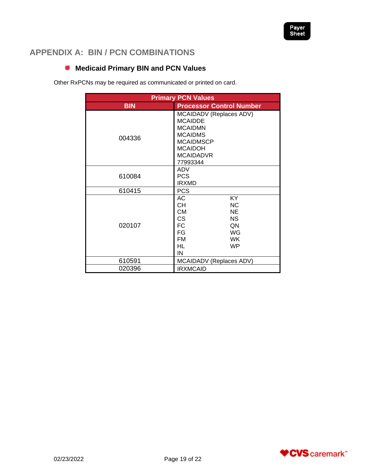

# <span id="page-18-0"></span>**APPENDIX A: BIN / PCN COMBINATIONS**

# <span id="page-18-1"></span>**Medicaid Primary BIN and PCN Values**

Other RxPCNs may be required as communicated or printed on card.

| <b>Primary PCN Values</b> |                                                                                                                                                                                       |  |  |  |
|---------------------------|---------------------------------------------------------------------------------------------------------------------------------------------------------------------------------------|--|--|--|
| <b>BIN</b>                | <b>Processor Control Number</b>                                                                                                                                                       |  |  |  |
| 004336                    | MCAIDADV (Replaces ADV)<br><b>MCAIDDE</b><br><b>MCAIDMN</b><br><b>MCAIDMS</b><br><b>MCAIDMSCP</b><br><b>MCAIDOH</b><br><b>MCAIDADVR</b><br>77993344                                   |  |  |  |
| 610084                    | ADV<br><b>PCS</b><br><b>IRXMD</b>                                                                                                                                                     |  |  |  |
| 610415                    | <b>PCS</b>                                                                                                                                                                            |  |  |  |
| 020107                    | $\overline{KY}$<br>АC<br>CН<br><b>NC</b><br><b>CM</b><br><b>NE</b><br><b>CS</b><br><b>NS</b><br><b>FC</b><br>QN<br>FG<br>WG<br><b>FM</b><br><b>WK</b><br><b>HL</b><br><b>WP</b><br>IN |  |  |  |
| 610591                    | MCAIDADV (Replaces ADV)                                                                                                                                                               |  |  |  |
| 020396                    | <b>IRXMCAID</b>                                                                                                                                                                       |  |  |  |

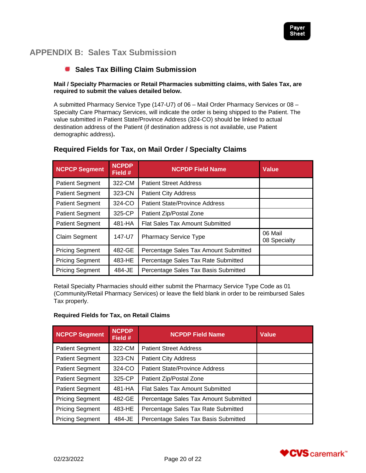

# <span id="page-19-0"></span>**APPENDIX B: Sales Tax Submission**

# <span id="page-19-1"></span>**Sales Tax Billing Claim Submission**

#### **Mail / Specialty Pharmacies or Retail Pharmacies submitting claims, with Sales Tax, are required to submit the values detailed below.**

A submitted Pharmacy Service Type (147-U7) of 06 – Mail Order Pharmacy Services or 08 – Specialty Care Pharmacy Services, will indicate the order is being shipped to the Patient. The value submitted in Patient State/Province Address (324-CO) should be linked to actual destination address of the Patient (if destination address is not available, use Patient demographic address)**.** 

| <b>NCPCP Segment</b>   | <b>NCPDP</b><br>Field #                | <b>NCPDP Field Name</b>               | <b>Value</b>            |
|------------------------|----------------------------------------|---------------------------------------|-------------------------|
| <b>Patient Segment</b> | 322-CM                                 | <b>Patient Street Address</b>         |                         |
| <b>Patient Segment</b> | 323-CN                                 | <b>Patient City Address</b>           |                         |
| <b>Patient Segment</b> | 324-CO                                 | <b>Patient State/Province Address</b> |                         |
| <b>Patient Segment</b> | 325-CP                                 | Patient Zip/Postal Zone               |                         |
| <b>Patient Segment</b> | 481-HA                                 | Flat Sales Tax Amount Submitted       |                         |
| <b>Claim Segment</b>   | 147-U7<br><b>Pharmacy Service Type</b> |                                       | 06 Mail<br>08 Specialty |
| <b>Pricing Segment</b> | 482-GE                                 | Percentage Sales Tax Amount Submitted |                         |
| <b>Pricing Segment</b> | 483-HE                                 | Percentage Sales Tax Rate Submitted   |                         |
| <b>Pricing Segment</b> | 484-JE                                 | Percentage Sales Tax Basis Submitted  |                         |

#### **Required Fields for Tax, on Mail Order / Specialty Claims**

Retail Specialty Pharmacies should either submit the Pharmacy Service Type Code as 01 (Community/Retail Pharmacy Services) or leave the field blank in order to be reimbursed Sales Tax properly.

#### **Required Fields for Tax, on Retail Claims**

| <b>NCPCP Segment</b>   | <b>NCPDP</b><br>Field # | <b>NCPDP Field Name</b>               | <b>Value</b> |
|------------------------|-------------------------|---------------------------------------|--------------|
| <b>Patient Segment</b> | 322-CM                  | <b>Patient Street Address</b>         |              |
| <b>Patient Segment</b> | 323-CN                  | <b>Patient City Address</b>           |              |
| <b>Patient Segment</b> | 324-CO                  | <b>Patient State/Province Address</b> |              |
| <b>Patient Segment</b> | 325-CP                  | Patient Zip/Postal Zone               |              |
| <b>Patient Segment</b> | 481-HA                  | Flat Sales Tax Amount Submitted       |              |
| <b>Pricing Segment</b> | 482-GE                  | Percentage Sales Tax Amount Submitted |              |
| <b>Pricing Segment</b> | 483-HE                  | Percentage Sales Tax Rate Submitted   |              |
| <b>Pricing Segment</b> | 484-JE                  | Percentage Sales Tax Basis Submitted  |              |

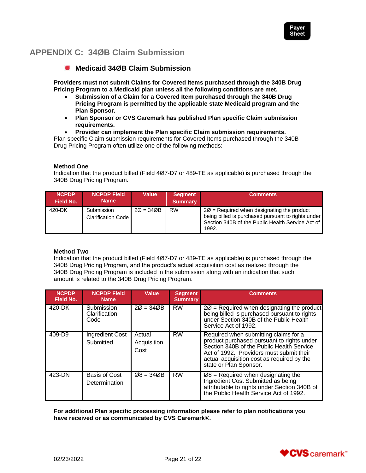

# <span id="page-20-0"></span>**APPENDIX C: 34ØB Claim Submission**

## <span id="page-20-1"></span>**Medicaid 34ØB Claim Submission**

**Providers must not submit Claims for Covered Items purchased through the 340B Drug Pricing Program to a Medicaid plan unless all the following conditions are met.**

- **Submission of a Claim for a Covered Item purchased through the 340B Drug Pricing Program is permitted by the applicable state Medicaid program and the Plan Sponsor.**
- **Plan Sponsor or CVS Caremark has published Plan specific Claim submission requirements.**
- **Provider can implement the Plan specific Claim submission requirements.**

Plan specific Claim submission requirements for Covered Items purchased through the 340B Drug Pricing Program often utilize one of the following methods:

#### **Method One**

Indication that the product billed (Field 4Ø7-D7 or 489-TE as applicable) is purchased through the 340B Drug Pricing Program.

| <b>NCPDP</b><br>Field No. | <b>NCPDP Field</b><br><b>Name</b>       | <b>Value</b> | <b>Segment</b><br><b>Summary</b> | <b>Comments</b>                                                                                                                                                           |
|---------------------------|-----------------------------------------|--------------|----------------------------------|---------------------------------------------------------------------------------------------------------------------------------------------------------------------------|
| 420-DK                    | Submission<br><b>Clarification Code</b> | $20 = 340B$  | <b>RW</b>                        | $2\varnothing$ = Required when designating the product<br>being billed is purchased pursuant to rights under<br>Section 340B of the Public Health Service Act of<br>1992. |

#### **Method Two**

Indication that the product billed (Field 4Ø7-D7 or 489-TE as applicable) is purchased through the 340B Drug Pricing Program, and the product's actual acquisition cost as realized through the 340B Drug Pricing Program is included in the submission along with an indication that such amount is related to the 340B Drug Pricing Program.

| <b>NCPDP</b><br><b>Field No.</b> | <b>NCPDP Field</b><br><b>Name</b>   | Value                         | <b>Segment</b><br><b>Summary</b> | <b>Comments</b>                                                                                                                                                                                                                                      |
|----------------------------------|-------------------------------------|-------------------------------|----------------------------------|------------------------------------------------------------------------------------------------------------------------------------------------------------------------------------------------------------------------------------------------------|
| 420-DK                           | Submission<br>Clarification<br>Code | $20 = 340B$                   | <b>RW</b>                        | $2\varnothing$ = Required when designating the product<br>being billed is purchased pursuant to rights<br>under Section 340B of the Public Health<br>Service Act of 1992.                                                                            |
| $409 - D9$                       | <b>Ingredient Cost</b><br>Submitted | Actual<br>Acquisition<br>Cost | <b>RW</b>                        | Required when submitting claims for a<br>product purchased pursuant to rights under<br>Section 340B of the Public Health Service<br>Act of 1992. Providers must submit their<br>actual acquisition cost as required by the<br>state or Plan Sponsor. |
| 423-DN                           | Basis of Cost<br>Determination      | $Ø8 = 34ØB$                   | <b>RW</b>                        | $Ø8$ = Required when designating the<br>Ingredient Cost Submitted as being<br>attributable to rights under Section 340B of<br>the Public Health Service Act of 1992.                                                                                 |

**For additional Plan specific processing information please refer to plan notifications you have received or as communicated by CVS Caremark®.**